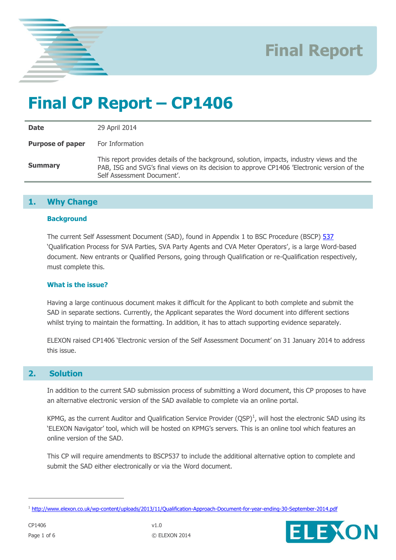

# **Final CP Report – CP1406**

**Date** 29 April 2014 **Purpose of paper** For Information **Summary** This report provides details of the background, solution, impacts, industry views and the PAB, ISG and SVG's final views on its decision to approve CP1406 'Electronic version of the Self Assessment Document'.

## **1. Why Change**

### **Background**

The current Self Assessment Document (SAD), found in Appendix 1 to BSC Procedure (BSCP) [537](http://www.elexon.co.uk/bsc-related-documents/related-documents/bscps) 'Qualification Process for SVA Parties, SVA Party Agents and CVA Meter Operators', is a large Word-based document. New entrants or Qualified Persons, going through Qualification or re-Qualification respectively, must complete this.

## **What is the issue?**

Having a large continuous document makes it difficult for the Applicant to both complete and submit the SAD in separate sections. Currently, the Applicant separates the Word document into different sections whilst trying to maintain the formatting. In addition, it has to attach supporting evidence separately.

ELEXON raised CP1406 'Electronic version of the Self Assessment Document' on 31 January 2014 to address this issue.

## **2. Solution**

In addition to the current SAD submission process of submitting a Word document, this CP proposes to have an alternative electronic version of the SAD available to complete via an online portal.

KPMG, as the current Auditor and Qualification Service Provider  $(QSP)^1$ , will host the electronic SAD using its 'ELEXON Navigator' tool, which will be hosted on KPMG's servers. This is an online tool which features an online version of the SAD.

This CP will require amendments to BSCP537 to include the additional alternative option to complete and submit the SAD either electronically or via the Word document.

 $\overline{a}$ 



<sup>&</sup>lt;sup>1</sup> <http://www.elexon.co.uk/wp-content/uploads/2013/11/Qualification-Approach-Document-for-year-ending-30-September-2014.pdf>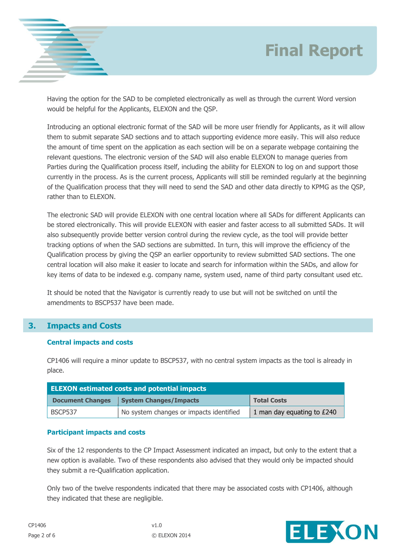

Having the option for the SAD to be completed electronically as well as through the current Word version would be helpful for the Applicants, ELEXON and the QSP.

Introducing an optional electronic format of the SAD will be more user friendly for Applicants, as it will allow them to submit separate SAD sections and to attach supporting evidence more easily. This will also reduce the amount of time spent on the application as each section will be on a separate webpage containing the relevant questions. The electronic version of the SAD will also enable ELEXON to manage queries from Parties during the Qualification process itself, including the ability for ELEXON to log on and support those currently in the process. As is the current process, Applicants will still be reminded regularly at the beginning of the Qualification process that they will need to send the SAD and other data directly to KPMG as the QSP, rather than to ELEXON.

The electronic SAD will provide ELEXON with one central location where all SADs for different Applicants can be stored electronically. This will provide ELEXON with easier and faster access to all submitted SADs. It will also subsequently provide better version control during the review cycle, as the tool will provide better tracking options of when the SAD sections are submitted. In turn, this will improve the efficiency of the Qualification process by giving the QSP an earlier opportunity to review submitted SAD sections. The one central location will also make it easier to locate and search for information within the SADs, and allow for key items of data to be indexed e.g. company name, system used, name of third party consultant used etc.

It should be noted that the Navigator is currently ready to use but will not be switched on until the amendments to BSCP537 have been made.

## **3. Impacts and Costs**

### **Central impacts and costs**

CP1406 will require a minor update to BSCP537, with no central system impacts as the tool is already in place.

| <b>ELEXON estimated costs and potential impacts</b> |                                         |                            |  |  |
|-----------------------------------------------------|-----------------------------------------|----------------------------|--|--|
| <b>Document Changes</b>                             | <b>System Changes/Impacts</b>           | <b>Total Costs</b>         |  |  |
| <b>BSCP537</b>                                      | No system changes or impacts identified | 1 man day equating to £240 |  |  |

#### **Participant impacts and costs**

Six of the 12 respondents to the CP Impact Assessment indicated an impact, but only to the extent that a new option is available. Two of these respondents also advised that they would only be impacted should they submit a re-Qualification application.

Only two of the twelve respondents indicated that there may be associated costs with CP1406, although they indicated that these are negligible.

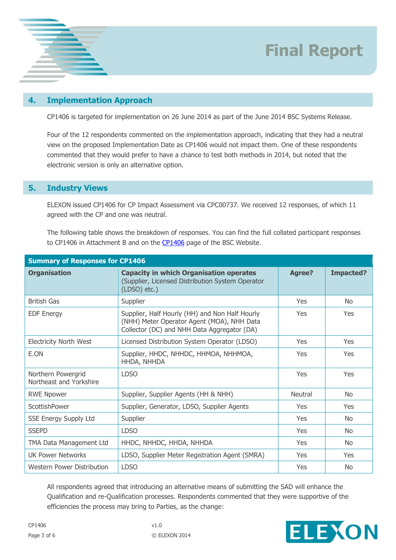

### **4. Implementation Approach**

CP1406 is targeted for implementation on 26 June 2014 as part of the June 2014 BSC Systems Release.

Four of the 12 respondents commented on the implementation approach, indicating that they had a neutral view on the proposed Implementation Date as CP1406 would not impact them. One of these respondents commented that they would prefer to have a chance to test both methods in 2014, but noted that the electronic version is only an alternative option.

#### **5. Industry Views**

ELEXON issued CP1406 for CP Impact Assessment via CPC00737. We received 12 responses, of which 11 agreed with the CP and one was neutral.

The following table shows the breakdown of responses. You can find the full collated participant responses to [CP1406](http://www.elexon.co.uk/change-proposal/cp1406/) in Attachment B and on the CP1406 page of the BSC Website.

| <b>Summary of Responses for CP1406</b>        |                                                                                                                                             |               |                  |  |
|-----------------------------------------------|---------------------------------------------------------------------------------------------------------------------------------------------|---------------|------------------|--|
| <b>Organisation</b>                           | <b>Capacity in which Organisation operates</b><br>(Supplier, Licensed Distribution System Operator<br>$(LDSO)$ etc.)                        | <b>Agree?</b> | <b>Impacted?</b> |  |
| <b>British Gas</b>                            | Supplier                                                                                                                                    | Yes           | No.              |  |
| <b>EDF Energy</b>                             | Supplier, Half Hourly (HH) and Non Half Hourly<br>(NHH) Meter Operator Agent (MOA), NHH Data<br>Collector (DC) and NHH Data Aggregator (DA) | Yes           | Yes              |  |
| <b>Electricity North West</b>                 | Licensed Distribution System Operator (LDSO)                                                                                                | <b>Yes</b>    | Yes              |  |
| E.ON                                          | Supplier, HHDC, NHHDC, HHMOA, NHHMOA,<br>HHDA, NHHDA                                                                                        | <b>Yes</b>    | Yes              |  |
| Northern Powergrid<br>Northeast and Yorkshire | <b>LDSO</b>                                                                                                                                 | Yes           | Yes              |  |
| <b>RWE Npower</b>                             | Supplier, Supplier Agents (HH & NHH)                                                                                                        | Neutral       | N <sub>o</sub>   |  |
| ScottishPower                                 | Supplier, Generator, LDSO, Supplier Agents                                                                                                  | Yes           | Yes              |  |
| <b>SSE Energy Supply Ltd</b>                  | Supplier                                                                                                                                    | <b>Yes</b>    | N <sub>o</sub>   |  |
| <b>SSEPD</b>                                  | <b>LDSO</b>                                                                                                                                 | Yes           | No.              |  |
| TMA Data Management Ltd                       | HHDC, NHHDC, HHDA, NHHDA                                                                                                                    | <b>Yes</b>    | No.              |  |
| <b>UK Power Networks</b>                      | LDSO, Supplier Meter Registration Agent (SMRA)                                                                                              | <b>Yes</b>    | Yes              |  |
| Western Power Distribution                    | <b>LDSO</b>                                                                                                                                 | Yes           | N <sub>o</sub>   |  |

All respondents agreed that introducing an alternative means of submitting the SAD will enhance the Qualification and re-Qualification processes. Respondents commented that they were supportive of the efficiencies the process may bring to Parties, as the change:

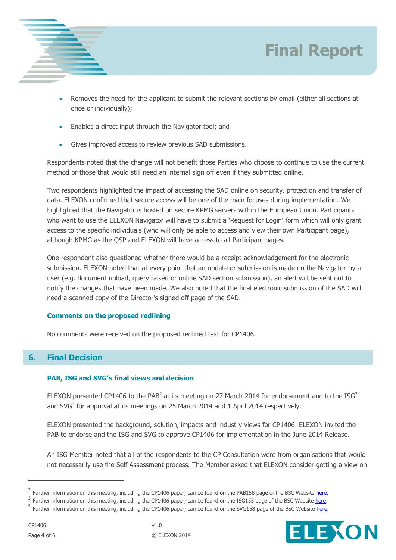

- Removes the need for the applicant to submit the relevant sections by email (either all sections at once or individually);
- Enables a direct input through the Navigator tool; and
- Gives improved access to review previous SAD submissions.

Respondents noted that the change will not benefit those Parties who choose to continue to use the current method or those that would still need an internal sign off even if they submitted online.

Two respondents highlighted the impact of accessing the SAD online on security, protection and transfer of data. ELEXON confirmed that secure access will be one of the main focuses during implementation. We highlighted that the Navigator is hosted on secure KPMG servers within the European Union. Participants who want to use the ELEXON Navigator will have to submit a 'Request for Login' form which will only grant access to the specific individuals (who will only be able to access and view their own Participant page), although KPMG as the QSP and ELEXON will have access to all Participant pages.

One respondent also questioned whether there would be a receipt acknowledgement for the electronic submission. ELEXON noted that at every point that an update or submission is made on the Navigator by a user (e.g. document upload, query raised or online SAD section submission), an alert will be sent out to notify the changes that have been made. We also noted that the final electronic submission of the SAD will need a scanned copy of the Director's signed off page of the SAD.

#### **Comments on the proposed redlining**

No comments were received on the proposed redlined text for CP1406.

## **6. Final Decision**

#### **PAB, ISG and SVG's final views and decision**

ELEXON presented CP1406 to the PAB<sup>2</sup> at its meeting on 27 March 2014 for endorsement and to the ISG<sup>3</sup> and SVG $4$  for approval at its meetings on 25 March 2014 and 1 April 2014 respectively.

ELEXON presented the background, solution, impacts and industry views for CP1406. ELEXON invited the PAB to endorse and the ISG and SVG to approve CP1406 for implementation in the June 2014 Release.

An ISG Member noted that all of the respondents to the CP Consultation were from organisations that would not necessarily use the Self Assessment process. The Member asked that ELEXON consider getting a view on

**Final Report**

 $\overline{a}$ 

<sup>&</sup>lt;sup>2</sup> Further information on this meeting, including the CP1406 paper, can be found on the PAB158 page of the BSC Website here.

<sup>&</sup>lt;sup>3</sup> Further information on this meeting, including the CP1406 paper, can be found on the ISG155 page of the BSC Website [here.](http://www.elexon.co.uk/meeting/isg-155/)

<sup>&</sup>lt;sup>4</sup> Further information on this meeting, including the CP1406 paper, can be found on the SVG158 page of the BSC Website [here.](http://www.elexon.co.uk/meeting/svg-158/)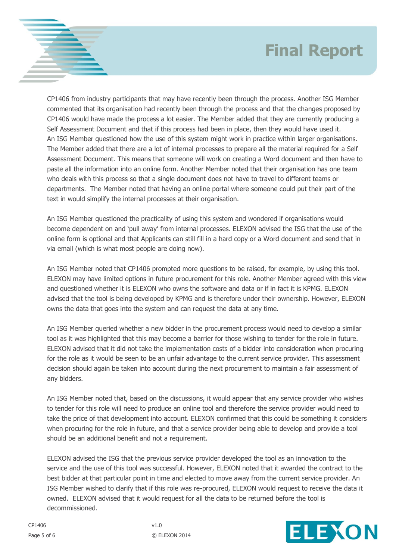CP1406 from industry participants that may have recently been through the process. Another ISG Member commented that its organisation had recently been through the process and that the changes proposed by CP1406 would have made the process a lot easier. The Member added that they are currently producing a Self Assessment Document and that if this process had been in place, then they would have used it. An ISG Member questioned how the use of this system might work in practice within larger organisations. The Member added that there are a lot of internal processes to prepare all the material required for a Self Assessment Document. This means that someone will work on creating a Word document and then have to paste all the information into an online form. Another Member noted that their organisation has one team who deals with this process so that a single document does not have to travel to different teams or departments. The Member noted that having an online portal where someone could put their part of the text in would simplify the internal processes at their organisation.

An ISG Member questioned the practicality of using this system and wondered if organisations would become dependent on and 'pull away' from internal processes. ELEXON advised the ISG that the use of the online form is optional and that Applicants can still fill in a hard copy or a Word document and send that in via email (which is what most people are doing now).

An ISG Member noted that CP1406 prompted more questions to be raised, for example, by using this tool. ELEXON may have limited options in future procurement for this role. Another Member agreed with this view and questioned whether it is ELEXON who owns the software and data or if in fact it is KPMG. ELEXON advised that the tool is being developed by KPMG and is therefore under their ownership. However, ELEXON owns the data that goes into the system and can request the data at any time.

An ISG Member queried whether a new bidder in the procurement process would need to develop a similar tool as it was highlighted that this may become a barrier for those wishing to tender for the role in future. ELEXON advised that it did not take the implementation costs of a bidder into consideration when procuring for the role as it would be seen to be an unfair advantage to the current service provider. This assessment decision should again be taken into account during the next procurement to maintain a fair assessment of any bidders.

An ISG Member noted that, based on the discussions, it would appear that any service provider who wishes to tender for this role will need to produce an online tool and therefore the service provider would need to take the price of that development into account. ELEXON confirmed that this could be something it considers when procuring for the role in future, and that a service provider being able to develop and provide a tool should be an additional benefit and not a requirement.

ELEXON advised the ISG that the previous service provider developed the tool as an innovation to the service and the use of this tool was successful. However, ELEXON noted that it awarded the contract to the best bidder at that particular point in time and elected to move away from the current service provider. An ISG Member wished to clarify that if this role was re-procured, ELEXON would request to receive the data it owned. ELEXON advised that it would request for all the data to be returned before the tool is decommissioned.